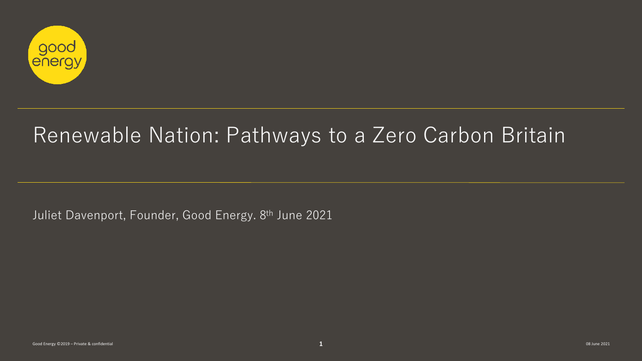

# Renewable Nation: Pathways to a Zero Carbon Britain

Juliet Davenport, Founder, Good Energy. 8th June 2021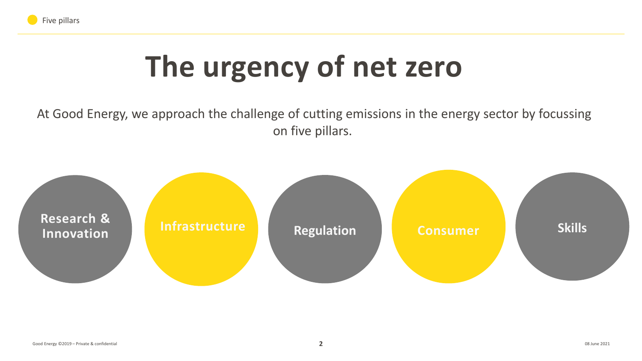

# **The urgency of net zero**

At Good Energy, we approach the challenge of cutting emissions in the energy sector by focussing on five pillars.

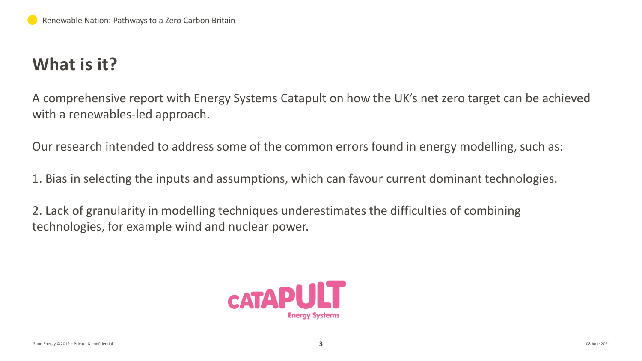# **What is it?**

A comprehensive report with Energy Systems Catapult on how the UK's net zero target can be achieved with a renewables-led approach.

Our research intended to address some of the common errors found in energy modelling, such as:

1. Bias in selecting the inputs and assumptions, which can favour current dominant technologies.

2. Lack of granularity in modelling techniques underestimates the difficulties of combining technologies, for example wind and nuclear power.

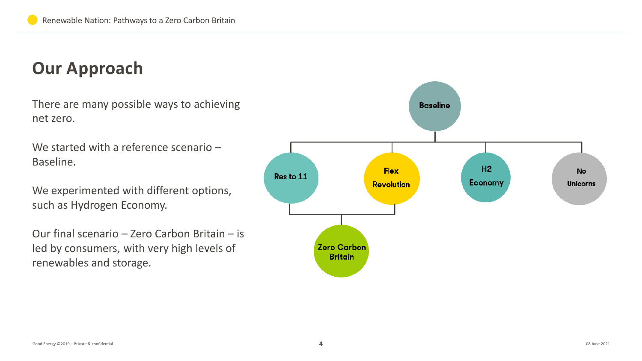## **Our Approach**

There are many possible ways to achieving net zero.

We started with a reference scenario – Baseline.

We experimented with different options, such as Hydrogen Economy.

Our final scenario – Zero Carbon Britain – is led by consumers, with very high levels of renewables and storage.

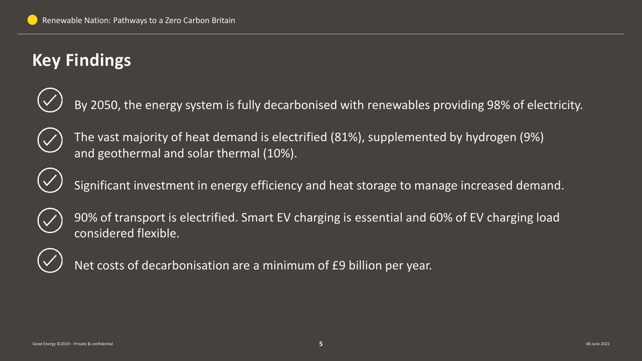# **Key Findings**



By 2050, the energy system is fully decarbonised with renewables providing 98% of electricity.



The vast majority of heat demand is electrified (81%), supplemented by hydrogen (9%) and geothermal and solar thermal (10%).



Significant investment in energy efficiency and heat storage to manage increased demand.



90% of transport is electrified. Smart EV charging is essential and 60% of EV charging load considered flexible.



Net costs of decarbonisation are a minimum of £9 billion per year.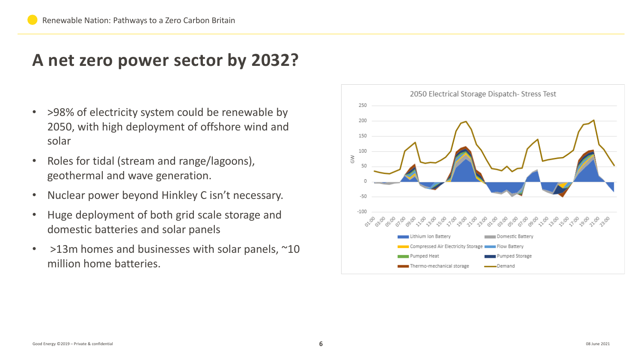### **A net zero power sector by 2032?**

- >98% of electricity system could be renewable by 2050, with high deployment of offshore wind and solar
- Roles for tidal (stream and range/lagoons), geothermal and wave generation.
- Nuclear power beyond Hinkley C isn't necessary.
- Huge deployment of both grid scale storage and domestic batteries and solar panels
- $>13$ m homes and businesses with solar panels,  $\sim$ 10 million home batteries.

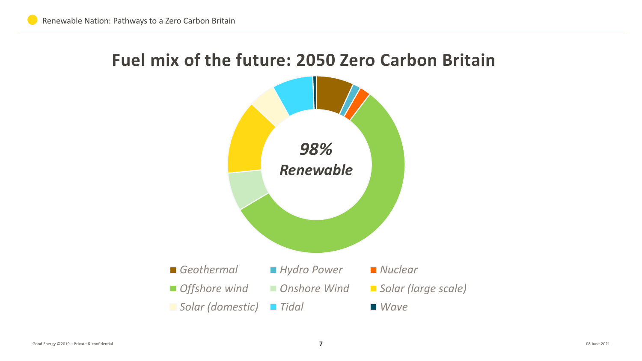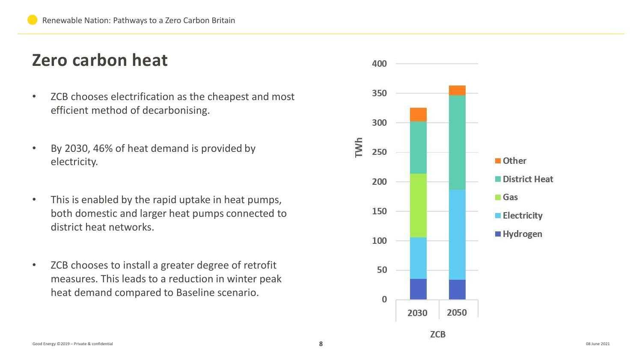### **Zero carbon heat**

- ZCB chooses electrification as the cheapest and most efficient method of decarbonising.
- By 2030, 46% of heat demand is provided by electricity.
- This is enabled by the rapid uptake in heat pumps, both domestic and larger heat pumps connected to district heat networks.
- ZCB chooses to install a greater degree of retrofit measures. This leads to a reduction in winter peak heat demand compared to Baseline scenario.

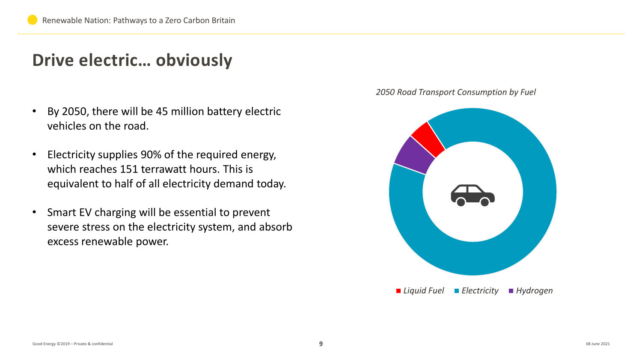#### **Drive electric… obviously**

- By 2050, there will be 45 million battery electric vehicles on the road.
- Electricity supplies 90% of the required energy, which reaches 151 terrawatt hours. This is equivalent to half of all electricity demand today.
- Smart EV charging will be essential to prevent severe stress on the electricity system, and absorb excess renewable power.

*2050 Road Transport Consumption by Fuel*

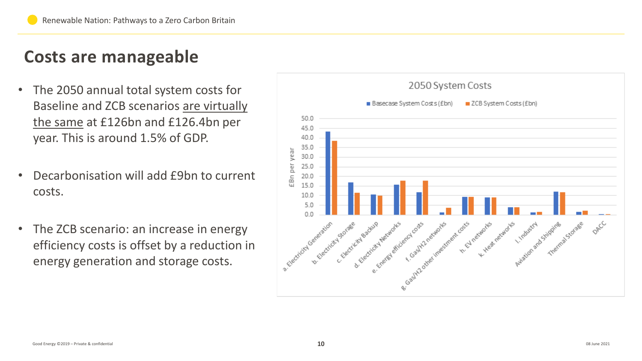# **Costs are manageable**

- The 2050 annual total system costs for Baseline and ZCB scenarios are virtually the same at £126bn and £126.4bn per year. This is around 1.5% of GDP.
- Decarbonisation will add £9bn to current costs.
- The ZCB scenario: an increase in energy efficiency costs is offset by a reduction in energy generation and storage costs.